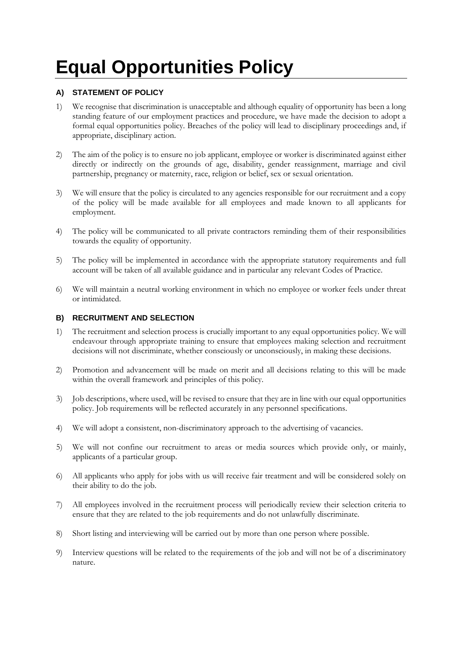# **Equal Opportunities Policy**

## **A) STATEMENT OF POLICY**

- 1) We recognise that discrimination is unacceptable and although equality of opportunity has been a long standing feature of our employment practices and procedure, we have made the decision to adopt a formal equal opportunities policy. Breaches of the policy will lead to disciplinary proceedings and, if appropriate, disciplinary action.
- 2) The aim of the policy is to ensure no job applicant, employee or worker is discriminated against either directly or indirectly on the grounds of age, disability, gender reassignment, marriage and civil partnership, pregnancy or maternity, race, religion or belief, sex or sexual orientation.
- 3) We will ensure that the policy is circulated to any agencies responsible for our recruitment and a copy of the policy will be made available for all employees and made known to all applicants for employment.
- 4) The policy will be communicated to all private contractors reminding them of their responsibilities towards the equality of opportunity.
- 5) The policy will be implemented in accordance with the appropriate statutory requirements and full account will be taken of all available guidance and in particular any relevant Codes of Practice.
- 6) We will maintain a neutral working environment in which no employee or worker feels under threat or intimidated.

### **B) RECRUITMENT AND SELECTION**

- 1) The recruitment and selection process is crucially important to any equal opportunities policy. We will endeavour through appropriate training to ensure that employees making selection and recruitment decisions will not discriminate, whether consciously or unconsciously, in making these decisions.
- 2) Promotion and advancement will be made on merit and all decisions relating to this will be made within the overall framework and principles of this policy.
- 3) Job descriptions, where used, will be revised to ensure that they are in line with our equal opportunities policy. Job requirements will be reflected accurately in any personnel specifications.
- 4) We will adopt a consistent, non-discriminatory approach to the advertising of vacancies.
- 5) We will not confine our recruitment to areas or media sources which provide only, or mainly, applicants of a particular group.
- 6) All applicants who apply for jobs with us will receive fair treatment and will be considered solely on their ability to do the job.
- 7) All employees involved in the recruitment process will periodically review their selection criteria to ensure that they are related to the job requirements and do not unlawfully discriminate.
- 8) Short listing and interviewing will be carried out by more than one person where possible.
- 9) Interview questions will be related to the requirements of the job and will not be of a discriminatory nature.